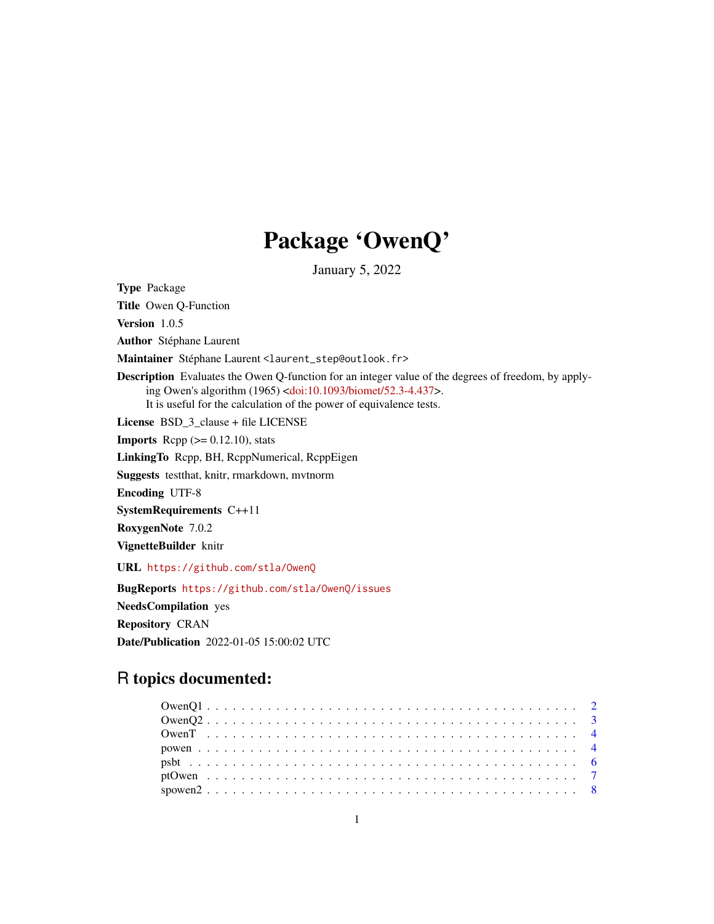## Package 'OwenQ'

January 5, 2022

Type Package

Title Owen Q-Function

Version 1.0.5

Author Stéphane Laurent

Maintainer Stéphane Laurent <laurent\_step@outlook.fr>

Description Evaluates the Owen Q-function for an integer value of the degrees of freedom, by applying Owen's algorithm (1965) [<doi:10.1093/biomet/52.3-4.437>](https://doi.org/10.1093/biomet/52.3-4.437). It is useful for the calculation of the power of equivalence tests.

License BSD\_3\_clause + file LICENSE

**Imports** Rcpp  $(>= 0.12.10)$ , stats

LinkingTo Rcpp, BH, RcppNumerical, RcppEigen

Suggests testthat, knitr, rmarkdown, mvtnorm

Encoding UTF-8

SystemRequirements C++11

RoxygenNote 7.0.2

VignetteBuilder knitr

URL <https://github.com/stla/OwenQ>

BugReports <https://github.com/stla/OwenQ/issues>

NeedsCompilation yes

Repository CRAN

Date/Publication 2022-01-05 15:00:02 UTC

### R topics documented: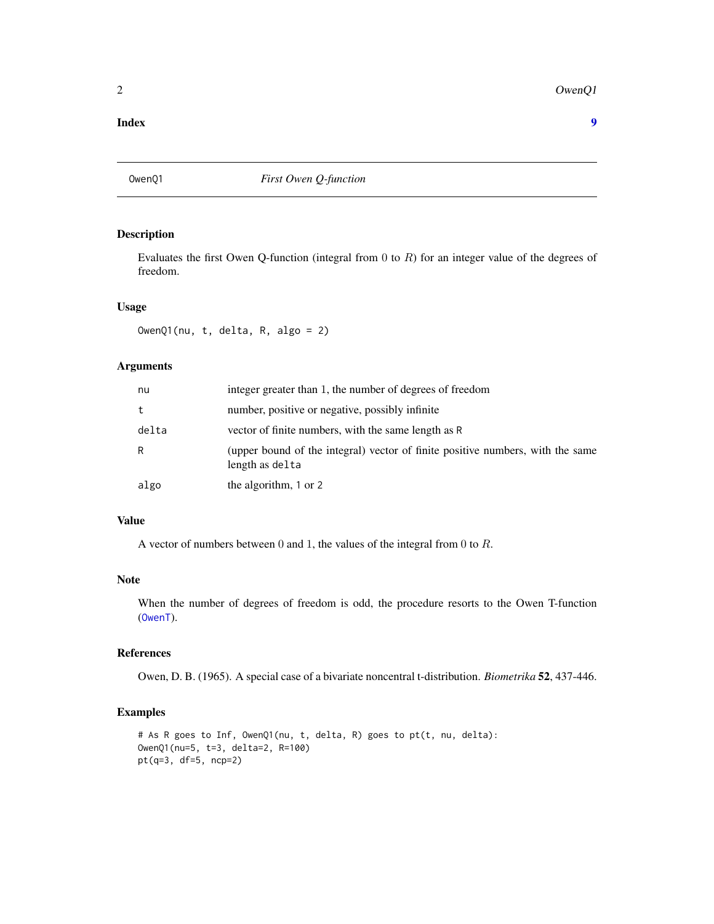#### <span id="page-1-0"></span>2 OwenQ1

#### **Index** [9](#page-8-0)

OwenQ1 *First Owen Q-function*

#### Description

Evaluates the first Owen Q-function (integral from  $0$  to  $R$ ) for an integer value of the degrees of freedom.

#### Usage

OwenQ1(nu, t, delta, R, algo = 2)

#### Arguments

| nu    | integer greater than 1, the number of degrees of freedom                                          |
|-------|---------------------------------------------------------------------------------------------------|
| t     | number, positive or negative, possibly infinite                                                   |
| delta | vector of finite numbers, with the same length as R                                               |
| R     | (upper bound of the integral) vector of finite positive numbers, with the same<br>length as delta |
| algo  | the algorithm, 1 or 2                                                                             |

#### Value

A vector of numbers between 0 and 1, the values of the integral from 0 to R.

#### Note

When the number of degrees of freedom is odd, the procedure resorts to the Owen T-function ([OwenT](#page-3-1)).

#### References

Owen, D. B. (1965). A special case of a bivariate noncentral t-distribution. *Biometrika* 52, 437-446.

```
# As R goes to Inf, OwenQ1(nu, t, delta, R) goes to pt(t, nu, delta):
OwenQ1(nu=5, t=3, delta=2, R=100)
pt(q=3, df=5, ncp=2)
```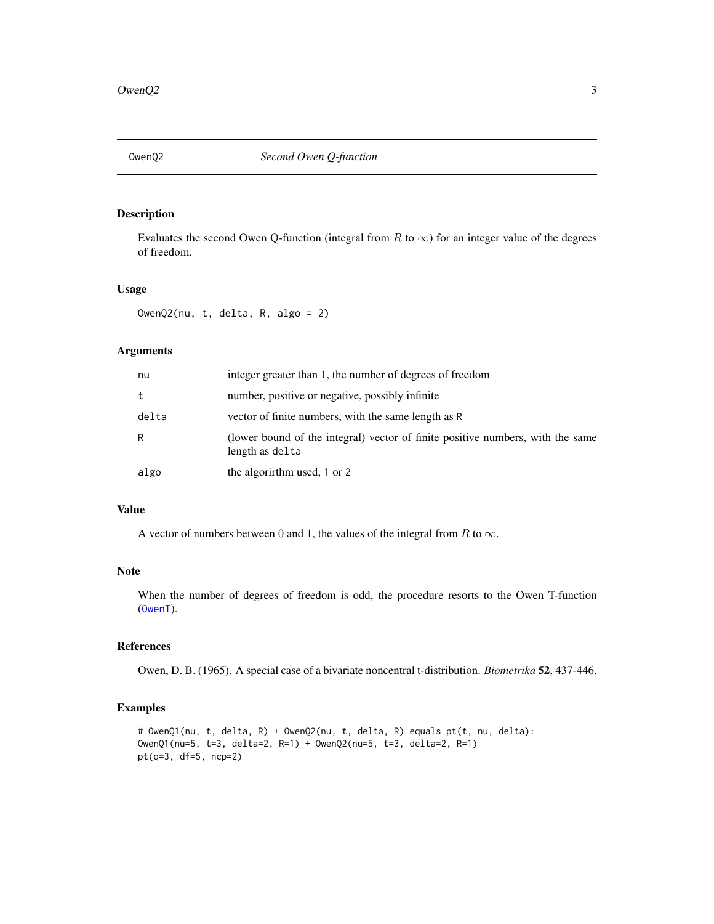<span id="page-2-0"></span>

Evaluates the second Owen Q-function (integral from R to  $\infty$ ) for an integer value of the degrees of freedom.

#### Usage

OwenQ2(nu, t, delta, R, algo = 2)

#### Arguments

| nu    | integer greater than 1, the number of degrees of freedom                                          |
|-------|---------------------------------------------------------------------------------------------------|
| t     | number, positive or negative, possibly infinite                                                   |
| delta | vector of finite numbers, with the same length as R                                               |
| R     | (lower bound of the integral) vector of finite positive numbers, with the same<br>length as delta |
| algo  | the algorithm used, 1 or 2                                                                        |

#### Value

A vector of numbers between 0 and 1, the values of the integral from R to  $\infty$ .

#### Note

When the number of degrees of freedom is odd, the procedure resorts to the Owen T-function ([OwenT](#page-3-1)).

#### References

Owen, D. B. (1965). A special case of a bivariate noncentral t-distribution. *Biometrika* 52, 437-446.

```
# OwenQ1(nu, t, delta, R) + OwenQ2(nu, t, delta, R) equals pt(t, nu, delta):
OwenQ1(nu=5, t=3, delta=2, R=1) + OwenQ2(nu=5, t=3, delta=2, R=1)
pt(q=3, df=5, ncp=2)
```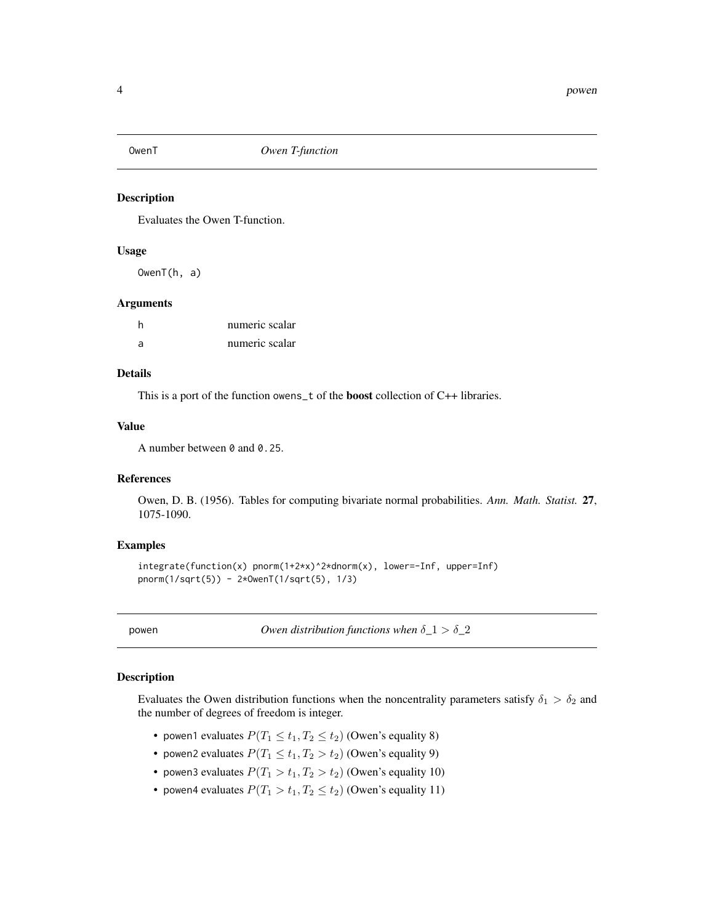<span id="page-3-1"></span><span id="page-3-0"></span>

Evaluates the Owen T-function.

#### Usage

OwenT(h, a)

#### Arguments

| h | numeric scalar |
|---|----------------|
| a | numeric scalar |

#### Details

This is a port of the function owens\_t of the boost collection of C++ libraries.

#### Value

A number between 0 and 0.25.

#### References

Owen, D. B. (1956). Tables for computing bivariate normal probabilities. *Ann. Math. Statist.* 27, 1075-1090.

#### Examples

```
integrate(function(x) pnorm(1+2*x)^2*dnorm(x), lower=-Inf, upper=Inf)
pnorm(1/sqrt(5)) - 2*OwenT(1/sqrt(5), 1/3)
```
<span id="page-3-2"></span>

powen *Owen distribution functions when* δ*\_*1 > δ*\_*2

#### <span id="page-3-3"></span>Description

Evaluates the Owen distribution functions when the noncentrality parameters satisfy  $\delta_1 > \delta_2$  and the number of degrees of freedom is integer.

- powen1 evaluates  $P(T_1 \le t_1, T_2 \le t_2)$  (Owen's equality 8)
- powen2 evaluates  $P(T_1 \le t_1, T_2 > t_2)$  (Owen's equality 9)
- powen3 evaluates  $P(T_1 > t_1, T_2 > t_2)$  (Owen's equality 10)
- powen4 evaluates  $P(T_1 > t_1, T_2 \le t_2)$  (Owen's equality 11)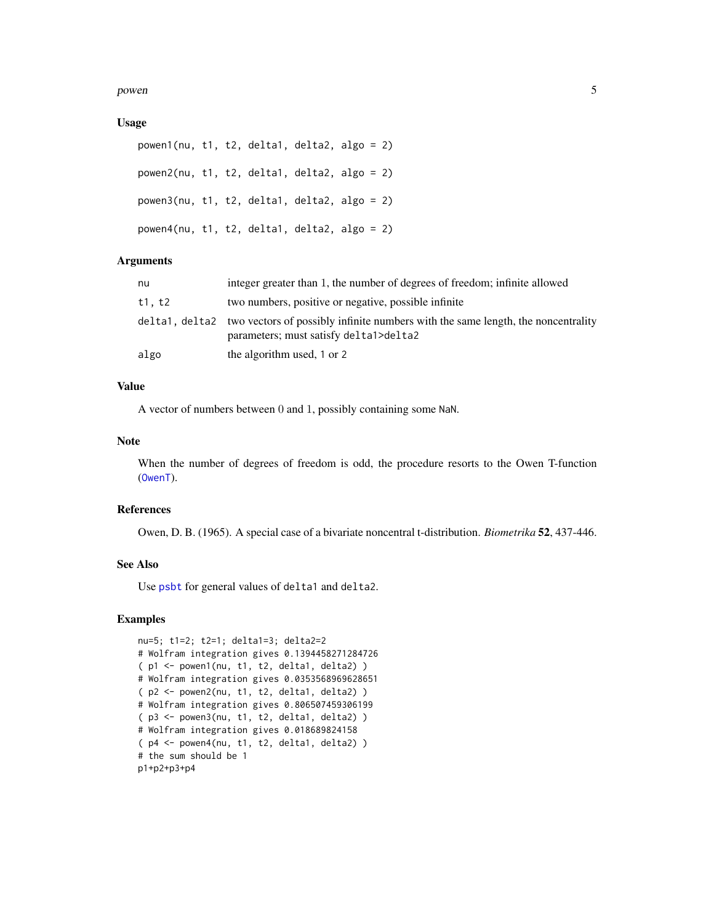<span id="page-4-0"></span>powen 55 and 55 and 55 and 55 and 55 and 55 and 55 and 55 and 55 and 55 and 55 and 55 and 55 and 55 and 55 and 55 and 55 and 55 and 55 and 55 and 55 and 55 and 55 and 55 and 55 and 55 and 55 and 55 and 55 and 55 and 55 and

#### Usage

```
powen1(nu, t1, t2, delta1, delta2, algo = 2)
powen2(nu, t1, t2, delta1, delta2, algo = 2)
powen3(nu, t1, t2, delta1, delta2, algo = 2)
powen4(nu, t1, t2, delta1, delta2, algo = 2)
```
#### **Arguments**

| nu     | integer greater than 1, the number of degrees of freedom; infinite allowed                                                                |
|--------|-------------------------------------------------------------------------------------------------------------------------------------------|
| t1, t2 | two numbers, positive or negative, possible infinite                                                                                      |
|        | delta1, delta2 two vectors of possibly infinite numbers with the same length, the noncentrality<br>parameters; must satisfy delta1>delta2 |
| algo   | the algorithm used, 1 or 2                                                                                                                |

#### Value

A vector of numbers between 0 and 1, possibly containing some NaN.

#### Note

When the number of degrees of freedom is odd, the procedure resorts to the Owen T-function ([OwenT](#page-3-1)).

#### References

Owen, D. B. (1965). A special case of a bivariate noncentral t-distribution. *Biometrika* 52, 437-446.

#### See Also

Use [psbt](#page-5-1) for general values of delta1 and delta2.

```
nu=5; t1=2; t2=1; delta1=3; delta2=2
# Wolfram integration gives 0.1394458271284726
( p1 <- powen1(nu, t1, t2, delta1, delta2) )
# Wolfram integration gives 0.0353568969628651
( p2 <- powen2(nu, t1, t2, delta1, delta2) )
# Wolfram integration gives 0.806507459306199
( p3 <- powen3(nu, t1, t2, delta1, delta2) )
# Wolfram integration gives 0.018689824158
( p4 <- powen4(nu, t1, t2, delta1, delta2) )
# the sum should be 1
p1+p2+p3+p4
```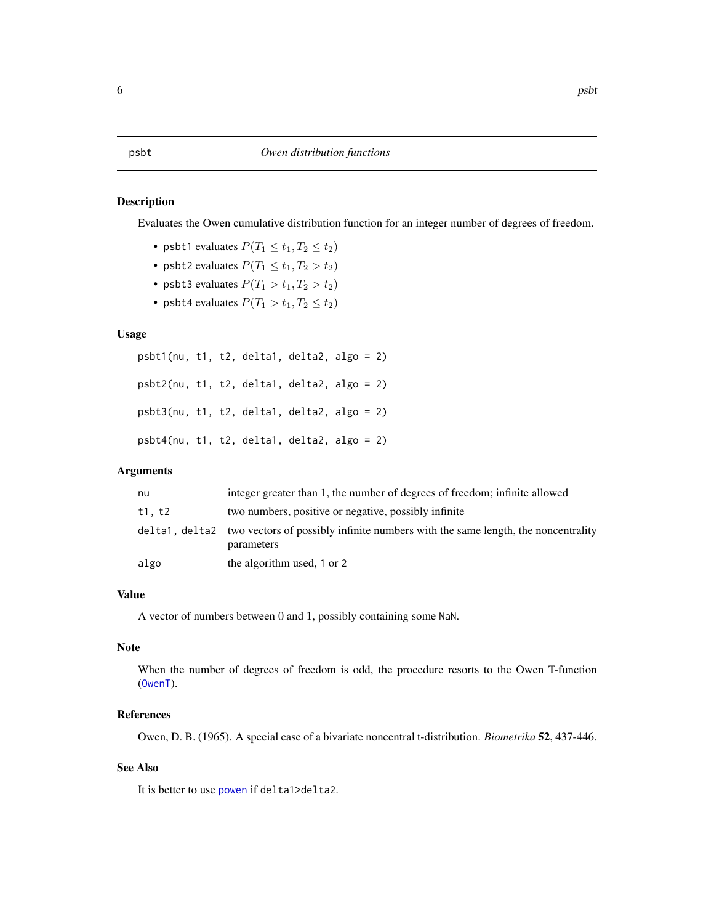<span id="page-5-1"></span><span id="page-5-0"></span>Evaluates the Owen cumulative distribution function for an integer number of degrees of freedom.

- psbt1 evaluates  $P(T_1 \le t_1, T_2 \le t_2)$
- psbt2 evaluates  $P(T_1 \le t_1, T_2 > t_2)$
- psbt3 evaluates  $P(T_1 > t_1, T_2 > t_2)$
- psbt4 evaluates  $P(T_1 > t_1, T_2 \le t_2)$

#### Usage

```
psbt1(nu, t1, t2, delta1, delta2, algo = 2)
psbt2(nu, t1, t2, delta1, delta2, algo = 2)
psbt3(nu, t1, t2, delta1, delta2, algo = 2)
psbt4(nu, t1, t2, delta1, delta2, algo = 2)
```
#### Arguments

| nu     | integer greater than 1, the number of degrees of freedom; infinite allowed                                    |
|--------|---------------------------------------------------------------------------------------------------------------|
| t1, t2 | two numbers, positive or negative, possibly infinite                                                          |
|        | delta1, delta2 two vectors of possibly infinite numbers with the same length, the noncentrality<br>parameters |
| algo   | the algorithm used, 1 or 2                                                                                    |

#### Value

A vector of numbers between 0 and 1, possibly containing some NaN.

#### Note

When the number of degrees of freedom is odd, the procedure resorts to the Owen T-function ([OwenT](#page-3-1)).

#### References

Owen, D. B. (1965). A special case of a bivariate noncentral t-distribution. *Biometrika* 52, 437-446.

#### See Also

It is better to use [powen](#page-3-2) if delta1>delta2.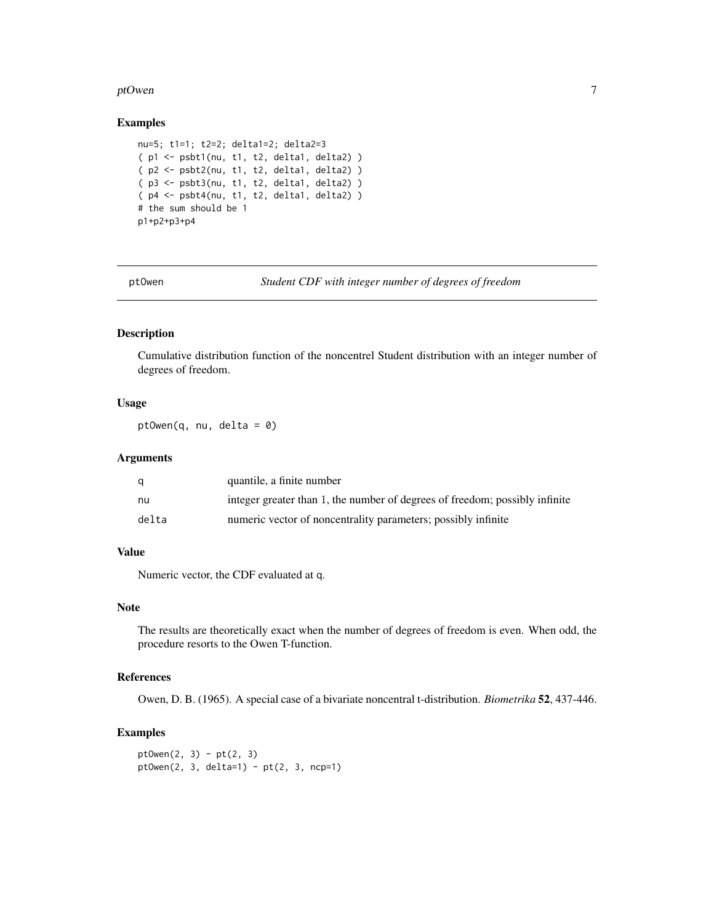#### <span id="page-6-0"></span>ptOwen 2008 and 2008 and 2008 and 2008 and 2008 and 2008 and 2008 and 2008 and 2008 and 2008 and 2008 and 2008

#### Examples

```
nu=5; t1=1; t2=2; delta1=2; delta2=3
( p1 <- psbt1(nu, t1, t2, delta1, delta2) )
( p2 <- psbt2(nu, t1, t2, delta1, delta2) )
( p3 <- psbt3(nu, t1, t2, delta1, delta2) )
( p4 <- psbt4(nu, t1, t2, delta1, delta2) )
# the sum should be 1
p1+p2+p3+p4
```
ptOwen *Student CDF with integer number of degrees of freedom*

#### Description

Cumulative distribution function of the noncentrel Student distribution with an integer number of degrees of freedom.

#### Usage

ptOwen(q, nu, delta = 0)

#### **Arguments**

|       | quantile, a finite number                                                   |
|-------|-----------------------------------------------------------------------------|
| nu    | integer greater than 1, the number of degrees of freedom; possibly infinite |
| delta | numeric vector of noncentrality parameters; possibly infinite               |

#### Value

Numeric vector, the CDF evaluated at q.

#### Note

The results are theoretically exact when the number of degrees of freedom is even. When odd, the procedure resorts to the Owen T-function.

#### References

Owen, D. B. (1965). A special case of a bivariate noncentral t-distribution. *Biometrika* 52, 437-446.

```
pt0wen(2, 3) - pt(2, 3)pt0wen(2, 3, delta=1) - pt(2, 3, nep=1)
```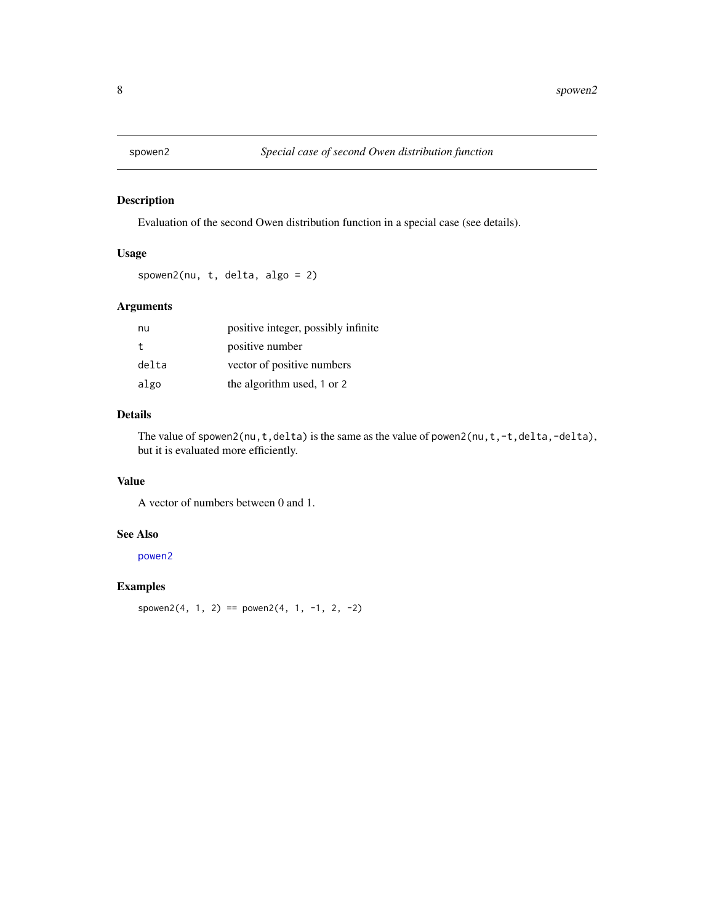<span id="page-7-0"></span>

Evaluation of the second Owen distribution function in a special case (see details).

#### Usage

spowen2(nu, t, delta, algo = 2)

#### Arguments

| nu    | positive integer, possibly infinite |
|-------|-------------------------------------|
| t.    | positive number                     |
| delta | vector of positive numbers          |
| algo  | the algorithm used, 1 or 2          |

#### Details

The value of spowen2(nu,t,delta) is the same as the value of powen2(nu,t,-t,delta,-delta), but it is evaluated more efficiently.

#### Value

A vector of numbers between 0 and 1.

#### See Also

[powen2](#page-3-3)

#### Examples

spowen2(4, 1, 2) == powen2(4, 1, -1, 2, -2)